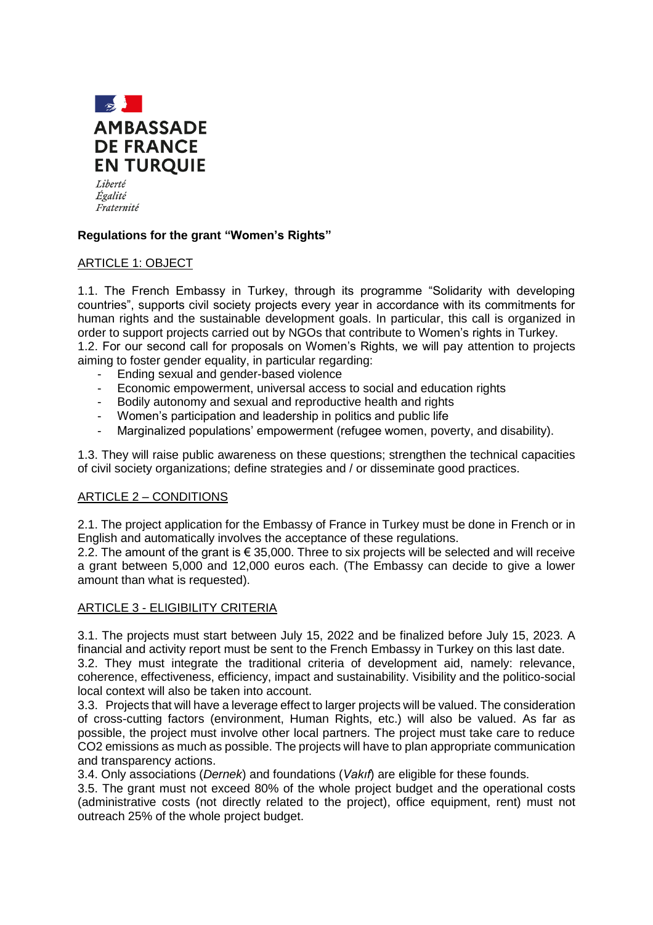

Égalité Fraternité

## **Regulations for the grant "Women's Rights"**

### ARTICLE 1: OBJECT

1.1. The French Embassy in Turkey, through its programme "Solidarity with developing countries", supports civil society projects every year in accordance with its commitments for human rights and the sustainable development goals. In particular, this call is organized in order to support projects carried out by NGOs that contribute to Women's rights in Turkey. 1.2. For our second call for proposals on Women's Rights, we will pay attention to projects aiming to foster gender equality, in particular regarding:

- Ending sexual and gender-based violence
- Economic empowerment, universal access to social and education rights
- Bodily autonomy and sexual and reproductive health and rights
- Women's participation and leadership in politics and public life
- Marginalized populations' empowerment (refugee women, poverty, and disability).

1.3. They will raise public awareness on these questions; strengthen the technical capacities of civil society organizations; define strategies and / or disseminate good practices.

### ARTICLE 2 – CONDITIONS

2.1. The project application for the Embassy of France in Turkey must be done in French or in English and automatically involves the acceptance of these regulations.

2.2. The amount of the grant is  $\epsilon$  35,000. Three to six projects will be selected and will receive a grant between 5,000 and 12,000 euros each. (The Embassy can decide to give a lower amount than what is requested).

### ARTICLE 3 - ELIGIBILITY CRITERIA

3.1. The projects must start between July 15, 2022 and be finalized before July 15, 2023. A financial and activity report must be sent to the French Embassy in Turkey on this last date.

3.2. They must integrate the traditional criteria of development aid, namely: relevance, coherence, effectiveness, efficiency, impact and sustainability. Visibility and the politico-social local context will also be taken into account.

3.3. Projects that will have a leverage effect to larger projects will be valued. The consideration of cross-cutting factors (environment, Human Rights, etc.) will also be valued. As far as possible, the project must involve other local partners. The project must take care to reduce CO2 emissions as much as possible. The projects will have to plan appropriate communication and transparency actions.

3.4. Only associations (*Dernek*) and foundations (*Vakıf*) are eligible for these founds.

3.5. The grant must not exceed 80% of the whole project budget and the operational costs (administrative costs (not directly related to the project), office equipment, rent) must not outreach 25% of the whole project budget.